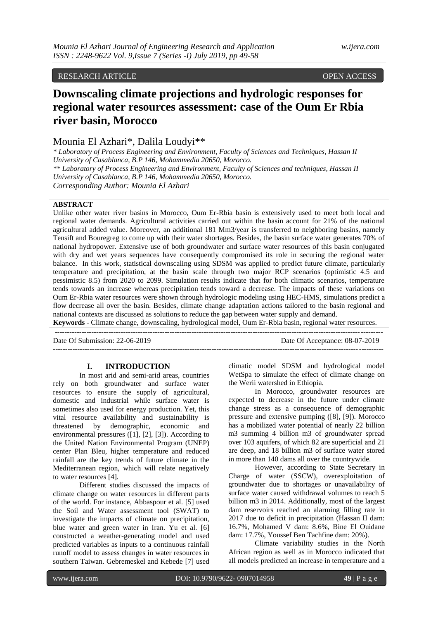# RESEARCH ARTICLE OPEN ACCESS

# **Downscaling climate projections and hydrologic responses for regional water resources assessment: case of the Oum Er Rbia river basin, Morocco**

# Mounia El Azhari\*, Dalila Loudyi\*\*

*\* Laboratory of Process Engineering and Environment, Faculty of Sciences and Techniques, Hassan II University of Casablanca, B.P 146, Mohammedia 20650, Morocco. \*\* Laboratory of Process Engineering and Environment, Faculty of Sciences and techniques, Hassan II University of Casablanca, B.P 146, Mohammedia 20650, Morocco. Corresponding Author: Mounia El Azhari*

# **ABSTRACT**

Unlike other water river basins in Morocco, Oum Er-Rbia basin is extensively used to meet both local and regional water demands. Agricultural activities carried out within the basin account for 21% of the national agricultural added value. Moreover, an additional 181 Mm3/year is transferred to neighboring basins, namely Tensift and Bouregreg to come up with their water shortages. Besides, the basin surface water generates 70% of national hydropower. Extensive use of both groundwater and surface water resources of this basin conjugated with dry and wet years sequences have consequently compromised its role in securing the regional water balance. In this work, statistical downscaling using SDSM was applied to predict future climate, particularly temperature and precipitation, at the basin scale through two major RCP scenarios (optimistic 4.5 and pessimistic 8.5) from 2020 to 2099. Simulation results indicate that for both climatic scenarios, temperature tends towards an increase whereas precipitation tends toward a decrease. The impacts of these variations on Oum Er-Rbia water resources were shown through hydrologic modeling using HEC-HMS, simulations predict a flow decrease all over the basin. Besides, climate change adaptation actions tailored to the basin regional and national contexts are discussed as solutions to reduce the gap between water supply and demand. **Keywords -** Climate change, downscaling, hydrological model, Oum Er-Rbia basin, regional water resources.

--------------------------------------------------------------------------------------------------------------------------------------

---------------------------------------------------------------------------------------------------------------------------------------

Date Of Submission: 22-06-2019 Date Of Acceptance: 08-07-2019

#### **I. INTRODUCTION**

In most arid and semi-arid areas, countries rely on both groundwater and surface water resources to ensure the supply of agricultural, domestic and industrial while surface water is sometimes also used for energy production. Yet, this vital resource availability and sustainability is threatened by demographic, economic and environmental pressures ([1], [2], [3]). According to the United Nation Environmental Program (UNEP) center Plan Bleu, higher temperature and reduced rainfall are the key trends of future climate in the Mediterranean region, which will relate negatively to water resources [4].

Different studies discussed the impacts of climate change on water resources in different parts of the world. For instance, Abbaspour et al. [5] used the Soil and Water assessment tool (SWAT) to investigate the impacts of climate on precipitation, blue water and green water in Iran. Yu et al. [6] constructed a weather-generating model and used predicted variables as inputs to a continuous rainfall runoff model to assess changes in water resources in southern Taiwan. Gebremeskel and Kebede [7] used

climatic model SDSM and hydrological model WetSpa to simulate the effect of climate change on the Werii watershed in Ethiopia.

In Morocco, groundwater resources are expected to decrease in the future under climate change stress as a consequence of demographic pressure and extensive pumping ([8], [9]). Morocco has a mobilized water potential of nearly 22 billion m3 summing 4 billion m3 of groundwater spread over 103 aquifers, of which 82 are superficial and 21 are deep, and 18 billion m3 of surface water stored in more than 140 dams all over the countrywide.

However, according to State Secretary in Charge of water (SSCW), overexploitation of groundwater due to shortages or unavailability of surface water caused withdrawal volumes to reach 5 billion m3 in 2014. Additionally, most of the largest dam reservoirs reached an alarming filling rate in 2017 due to deficit in precipitation (Hassan II dam: 16.7%, Mohamed V dam: 8.6%, Bine El Ouidane dam: 17.7%, Youssef Ben Tachfine dam: 20%).

Climate variability studies in the North African region as well as in Morocco indicated that all models predicted an increase in temperature and a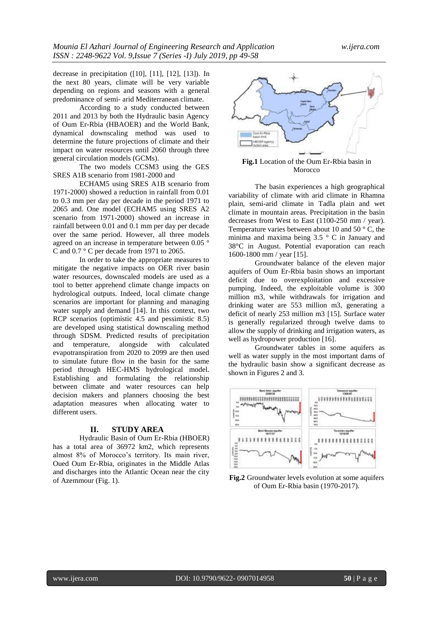decrease in precipitation ([10], [11], [12], [13]). In the next 80 years, climate will be very variable depending on regions and seasons with a general predominance of semi- arid Mediterranean climate.

According to a study conducted between 2011 and 2013 by both the Hydraulic basin Agency of Oum Er-Rbia (HBAOER) and the World Bank, dynamical downscaling method was used to determine the future projections of climate and their impact on water resources until 2060 through three general circulation models (GCMs).

The two models CCSM3 using the GES SRES A1B scenario from 1981-2000 and

ECHAM5 using SRES A1B scenario from 1971-2000) showed a reduction in rainfall from 0.01 to 0.3 mm per day per decade in the period 1971 to 2065 and. One model (ECHAM5 using SRES A2 scenario from 1971-2000) showed an increase in rainfall between 0.01 and 0.1 mm per day per decade over the same period. However, all three models agreed on an increase in temperature between 0.05 ° C and 0.7 ° C per decade from 1971 to 2065.

In order to take the appropriate measures to mitigate the negative impacts on OER river basin water resources, downscaled models are used as a tool to better apprehend climate change impacts on hydrological outputs. Indeed, local climate change scenarios are important for planning and managing water supply and demand [14]. In this context, two RCP scenarios (optimistic 4.5 and pessimistic 8.5) are developed using statistical downscaling method through SDSM. Predicted results of precipitation and temperature, alongside with calculated evapotranspiration from 2020 to 2099 are then used to simulate future flow in the basin for the same period through HEC-HMS hydrological model. Establishing and formulating the relationship between climate and water resources can help decision makers and planners choosing the best adaptation measures when allocating water to different users.

# **II. STUDY AREA**

Hydraulic Basin of Oum Er-Rbia (HBOER) has a total area of 36972 km2, which represents almost 8% of Morocco's territory. Its main river, Oued Oum Er-Rbia, originates in the Middle Atlas and discharges into the Atlantic Ocean near the city of Azemmour (Fig. 1).



**Fig.1** Location of the Oum Er-Rbia basin in Morocco

The basin experiences a high geographical variability of climate with arid climate in Rhamna plain, semi-arid climate in Tadla plain and wet climate in mountain areas. Precipitation in the basin decreases from West to East (1100-250 mm / year). Temperature varies between about 10 and 50 ° C, the minima and maxima being 3.5 ° C in January and 38°C in August. Potential evaporation can reach 1600-1800 mm / year [15].

Groundwater balance of the eleven major aquifers of Oum Er-Rbia basin shows an important deficit due to overexploitation and excessive pumping. Indeed, the exploitable volume is 300 million m3, while withdrawals for irrigation and drinking water are 553 million m3, generating a deficit of nearly 253 million m3 [15]. Surface water is generally regularized through twelve dams to allow the supply of drinking and irrigation waters, as well as hydropower production [16].

Groundwater tables in some aquifers as well as water supply in the most important dams of the hydraulic basin show a significant decrease as shown in Figures 2 and 3.



**Fig.2** Groundwater levels evolution at some aquifers of Oum Er-Rbia basin (1970-2017).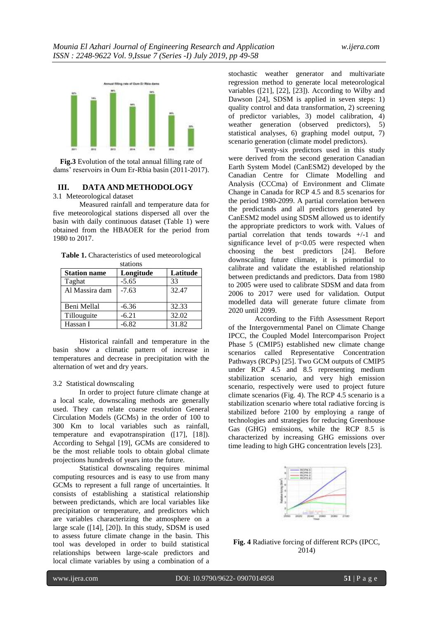

**Fig.3** Evolution of the total annual filling rate of dams' reservoirs in Oum Er-Rbia basin (2011-2017).

#### **III. DATA AND METHODOLOGY**

#### 3.1 Meteorological dataset

Measured rainfall and temperature data for five meteorological stations dispersed all over the basin with daily continuous dataset (Table 1) were obtained from the HBAOER for the period from 1980 to 2017.

**Table 1.** Characteristics of used meteorological stations

| <b>Station name</b> | Longitude | Latitude |
|---------------------|-----------|----------|
| Taghat              | $-5.65$   | 33       |
| Al Massira dam      | $-7.63$   | 32.47    |
|                     |           |          |
| Beni Mellal         | $-6.36$   | 32.33    |
| Tillouguite         | $-6.21$   | 32.02    |
| Hassan I            | $-6.82$   | 31.82    |

Historical rainfall and temperature in the basin show a climatic pattern of increase in temperatures and decrease in precipitation with the alternation of wet and dry years.

## 3.2 Statistical downscaling

In order to project future climate change at a local scale, downscaling methods are generally used. They can relate coarse resolution General Circulation Models (GCMs) in the order of 100 to 300 Km to local variables such as rainfall, temperature and evapotranspiration ([17], [18]). According to Sehgal [19], GCMs are considered to be the most reliable tools to obtain global climate projections hundreds of years into the future.

Statistical downscaling requires minimal computing resources and is easy to use from many GCMs to represent a full range of uncertainties. It consists of establishing a statistical relationship between predictands, which are local variables like precipitation or temperature, and predictors which are variables characterizing the atmosphere on a large scale ([14], [20]). In this study, SDSM is used to assess future climate change in the basin. This tool was developed in order to build statistical relationships between large-scale predictors and local climate variables by using a combination of a

stochastic weather generator and multivariate regression method to generate local meteorological variables ([21], [22], [23]). According to Wilby and Dawson [24], SDSM is applied in seven steps: 1) quality control and data transformation, 2) screening of predictor variables, 3) model calibration, 4) weather generation (observed predictors), 5) statistical analyses, 6) graphing model output, 7) scenario generation (climate model predictors).

Twenty-six predictors used in this study were derived from the second generation Canadian Earth System Model (CanESM2) developed by the Canadian Centre for Climate Modelling and Analysis (CCCma) of Environment and Climate Change in Canada for RCP 4.5 and 8.5 scenarios for the period 1980-2099. A partial correlation between the predictands and all predictors generated by CanESM2 model using SDSM allowed us to identify the appropriate predictors to work with. Values of partial correlation that tends towards +/-1 and significance level of  $p<0.05$  were respected when choosing the best predictors [24]. Before downscaling future climate, it is primordial to calibrate and validate the established relationship between predictands and predictors. Data from 1980 to 2005 were used to calibrate SDSM and data from 2006 to 2017 were used for validation. Output modelled data will generate future climate from 2020 until 2099.

According to the Fifth Assessment Report of the Intergovernmental Panel on Climate Change IPCC, the Coupled Model Intercomparison Project Phase 5 (CMIP5) established new climate change scenarios called Representative Concentration Pathways (RCPs) [25]. Two GCM outputs of CMIP5 under RCP 4.5 and 8.5 representing medium stabilization scenario, and very high emission scenario, respectively were used to project future climate scenarios (Fig. 4). The RCP 4.5 scenario is a stabilization scenario where total radiative forcing is stabilized before 2100 by employing a range of technologies and strategies for reducing Greenhouse Gas (GHG) emissions, while the RCP 8.5 is characterized by increasing GHG emissions over time leading to high GHG concentration levels [23].



**Fig. 4** Radiative forcing of different RCPs (IPCC, 2014)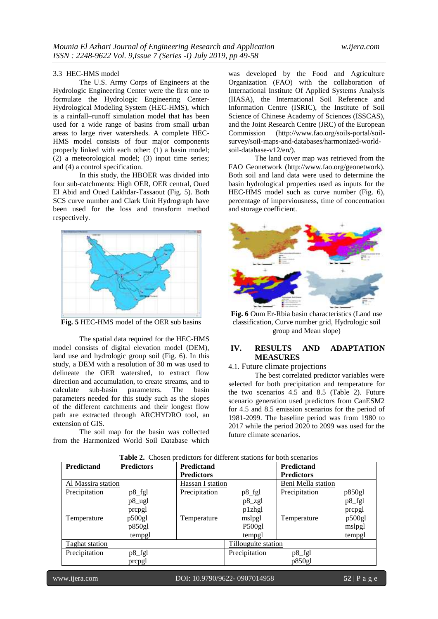#### 3.3 HEC-HMS model

The U.S. Army Corps of Engineers at the Hydrologic Engineering Center were the first one to formulate the Hydrologic Engineering Center-Hydrological Modeling System (HEC-HMS), which is a rainfall–runoff simulation model that has been used for a wide range of basins from small urban areas to large river watersheds. A complete HEC-HMS model consists of four major components properly linked with each other: (1) a basin model; (2) a meteorological model; (3) input time series; and (4) a control specification.

In this study, the HBOER was divided into four sub-catchments: High OER, OER central, Oued El Abid and Oued Lakhdar-Tassaout (Fig. 5). Both SCS curve number and Clark Unit Hydrograph have been used for the loss and transform method respectively.



**Fig. 5** HEC-HMS model of the OER sub basins

The spatial data required for the HEC-HMS model consists of digital elevation model (DEM), land use and hydrologic group soil (Fig. 6). In this study, a DEM with a resolution of 30 m was used to delineate the OER watershed, to extract flow direction and accumulation, to create streams, and to calculate sub-basin parameters. The basin parameters needed for this study such as the slopes of the different catchments and their longest flow path are extracted through ARCHYDRO tool, an extension of GIS.

The soil map for the basin was collected from the Harmonized World Soil Database which

was developed by the Food and Agriculture Organization (FAO) with the collaboration of International Institute Of Applied Systems Analysis (IIASA), the International Soil Reference and Information Centre (ISRIC), the Institute of Soil Science of Chinese Academy of Sciences (ISSCAS), and the Joint Research Centre (JRC) of the European Commission (http://www.fao.org/soils-portal/soilsurvey/soil-maps-and-databases/harmonized-worldsoil-database-v12/en/).

The land cover map was retrieved from the FAO Geonetwork (http://www.fao.org/geonetwork). Both soil and land data were used to determine the basin hydrological properties used as inputs for the HEC-HMS model such as curve number (Fig. 6), percentage of imperviousness, time of concentration and storage coefficient.



**Fig. 6** Oum Er-Rbia basin characteristics (Land use classification, Curve number grid, Hydrologic soil group and Mean slope)

## **IV. RESULTS AND ADAPTATION MEASURES**

#### 4.1. Future climate projections

The best correlated predictor variables were selected for both precipitation and temperature for the two scenarios 4.5 and 8.5 (Table 2). Future scenario generation used predictors from CanESM2 for 4.5 and 8.5 emission scenarios for the period of 1981-2099. The baseline period was from 1980 to 2017 while the period 2020 to 2099 was used for the future climate scenarios.

| Predictand         | <b>Predictors</b>   | <b>Predictand</b> |                      | <b>Predictand</b>  |        |
|--------------------|---------------------|-------------------|----------------------|--------------------|--------|
|                    |                     | <b>Predictors</b> |                      | <b>Predictors</b>  |        |
| Al Massira station |                     | Hassan I station  |                      | Beni Mella station |        |
| Precipitation      | $p8$ _fgl           | Precipitation     | $p8$ _fgl            | Precipitation      | p850gl |
|                    | p8_ugl              |                   | $p8$ <sub>_zgl</sub> |                    | p8_fgl |
|                    | prcpgl              |                   | p1zhgl               |                    | propgl |
| Temperature        | p500gl              | Temperature       | mslpgl               | Temperature        | p500gl |
|                    | p850gl              |                   | P500gl               |                    | mslpgl |
|                    | tempgl              |                   | tempgl               |                    | tempgl |
| Taghat station     | Tillouguite station |                   |                      |                    |        |
| Precipitation      | p8_fgl              |                   | Precipitation        | p8_fgl             |        |
|                    | prepgl              |                   |                      | p850gl             |        |

**Table 2.** Chosen predictors for different stations for both scenarios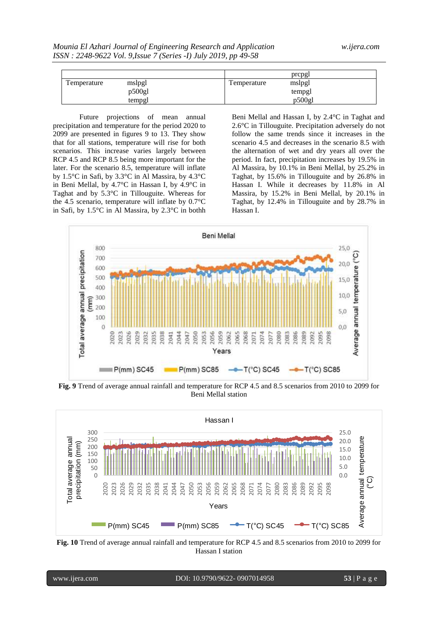|             |        | prepgl      |        |
|-------------|--------|-------------|--------|
| Temperature | mslpgl | Temperature | mslpgl |
|             | p500gl |             | tempgl |
|             | tempgl |             | p500gl |

Future projections of mean annual precipitation and temperature for the period 2020 to 2099 are presented in figures 9 to 13. They show that for all stations, temperature will rise for both scenarios. This increase varies largely between RCP 4.5 and RCP 8.5 being more important for the later. For the scenario 8.5, temperature will inflate by 1.5°C in Safi, by 3.3°C in Al Massira, by 4.3°C in Beni Mellal, by 4.7°C in Hassan I, by 4.9°C in Taghat and by 5.3°C in Tillouguite. Whereas for the 4.5 scenario, temperature will inflate by 0.7°C in Safi, by 1.5°C in Al Massira, by 2.3°C in bothh

Beni Mellal and Hassan I, by 2.4°C in Taghat and 2.6°C in Tillouguite. Precipitation adversely do not follow the same trends since it increases in the scenario 4.5 and decreases in the scenario 8.5 with the alternation of wet and dry years all over the period. In fact, precipitation increases by 19.5% in Al Massira, by 10.1% in Beni Mellal, by 25.2% in Taghat, by 15.6% in Tillouguite and by 26.8% in Hassan I. While it decreases by 11.8% in Al Massira, by 15.2% in Beni Mellal, by 20.1% in Taghat, by 12.4% in Tillouguite and by 28.7% in Hassan I.



**Fig. 9** Trend of average annual rainfall and temperature for RCP 4.5 and 8.5 scenarios from 2010 to 2099 for Beni Mellal station



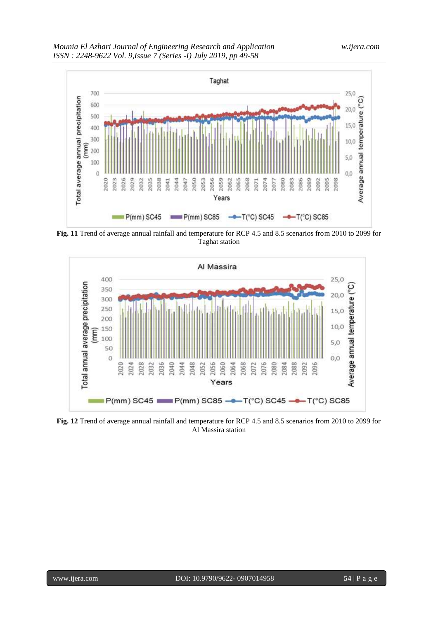

**Fig. 11** Trend of average annual rainfall and temperature for RCP 4.5 and 8.5 scenarios from 2010 to 2099 for Taghat station



**Fig. 12** Trend of average annual rainfall and temperature for RCP 4.5 and 8.5 scenarios from 2010 to 2099 for Al Massira station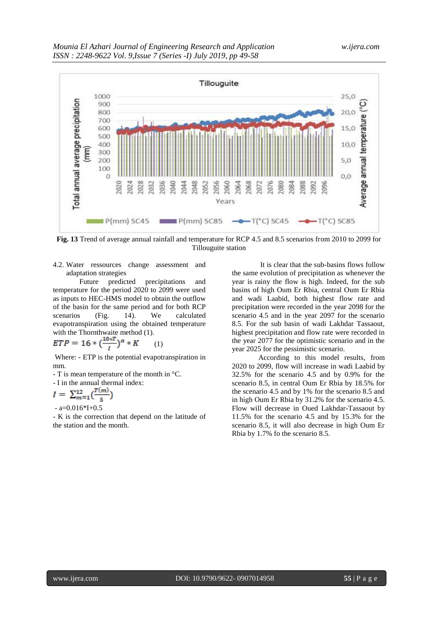

**Fig. 13** Trend of average annual rainfall and temperature for RCP 4.5 and 8.5 scenarios from 2010 to 2099 for Tillouguite station

4.2. Water ressources change assessment and adaptation strategies

Future predicted precipitations and temperature for the period 2020 to 2099 were used as inputs to HEC-HMS model to obtain the outflow of the basin for the same period and for both RCP scenarios (Fig. 14). We calculated evapotranspiration using the obtained temperature with the Thornthwaite method  $(1)$ .

$$
ETP = 16 * (\frac{10 * T}{I})^a * K \qquad (1)
$$

Where: - ETP is the potential evapotranspiration in mm.

- T is mean temperature of the month in °C.

- I in the annual thermal index:

$$
I = \sum_{m=1}^{12} \left(\frac{T(m)}{5}\right)
$$

 $- a=0.016*I+0.5$ 

- K is the correction that depend on the latitude of the station and the month.

It is clear that the sub-basins flows follow the same evolution of precipitation as whenever the year is rainy the flow is high. Indeed, for the sub basins of high Oum Er Rbia, central Oum Er Rbia and wadi Laabid, both highest flow rate and precipitation were recorded in the year 2098 for the scenario 4.5 and in the year 2097 for the scenario 8.5. For the sub basin of wadi Lakhdar Tassaout, highest precipitation and flow rate were recorded in the year 2077 for the optimistic scenario and in the year 2025 for the pessimistic scenario.

According to this model results, from 2020 to 2099, flow will increase in wadi Laabid by 32.5% for the scenario 4.5 and by 0.9% for the scenario 8.5, in central Oum Er Rbia by 18.5% for the scenario 4.5 and by 1% for the scenario 8.5 and in high Oum Er Rbia by 31.2% for the scenario 4.5. Flow will decrease in Oued Lakhdar-Tassaout by 11.5% for the scenario 4.5 and by 15.3% for the scenario 8.5, it will also decrease in high Oum Er Rbia by 1.7% fo the scenario 8.5.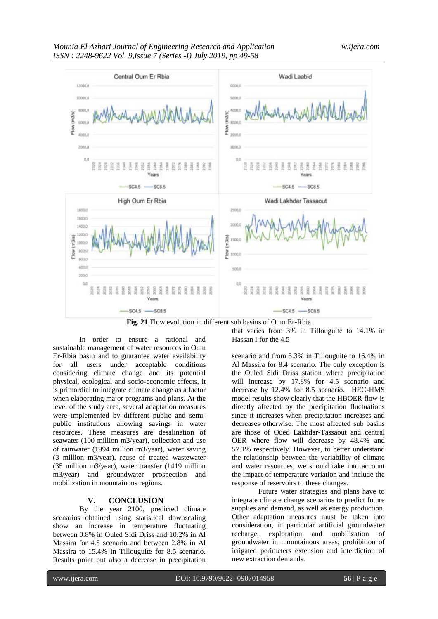

**Fig. 21** Flow evolution in different sub basins of Oum Er-Rbia

In order to ensure a rational and sustainable management of water resources in Oum Er-Rbia basin and to guarantee water availability for all users under acceptable conditions considering climate change and its potential physical, ecological and socio-economic effects, it is primordial to integrate climate change as a factor when elaborating major programs and plans. At the level of the study area, several adaptation measures were implemented by different public and semipublic institutions allowing savings in water resources. These measures are desalination of seawater (100 million m3/year), collection and use of rainwater (1994 million m3/year), water saving (3 million m3/year), reuse of treated wastewater (35 million m3/year), water transfer (1419 million m3/year) and groundwater prospection and mobilization in mountainous regions.

# **V. CONCLUSION**

By the year 2100, predicted climate scenarios obtained using statistical downscaling show an increase in temperature fluctuating between 0.8% in Ouled Sidi Driss and 10.2% in Al Massira for 4.5 scenario and between 2.8% in Al Massira to 15.4% in Tillouguite for 8.5 scenario. Results point out also a decrease in precipitation that varies from 3% in Tillouguite to 14.1% in Hassan I for the 4.5

scenario and from 5.3% in Tillouguite to 16.4% in Al Massira for 8.4 scenario. The only exception is the Ouled Sidi Driss station where precipitation will increase by 17.8% for 4.5 scenario and decrease by 12.4% for 8.5 scenario. HEC-HMS model results show clearly that the HBOER flow is directly affected by the precipitation fluctuations since it increases when precipitation increases and decreases otherwise. The most affected sub basins are those of Oued Lakhdar-Tassaout and central OER where flow will decrease by 48.4% and 57.1% respectively. However, to better understand the relationship between the variability of climate and water resources, we should take into account the impact of temperature variation and include the response of reservoirs to these changes.

Future water strategies and plans have to integrate climate change scenarios to predict future supplies and demand, as well as energy production. Other adaptation measures must be taken into consideration, in particular artificial groundwater recharge, exploration and mobilization of groundwater in mountainous areas, prohibition of irrigated perimeters extension and interdiction of new extraction demands.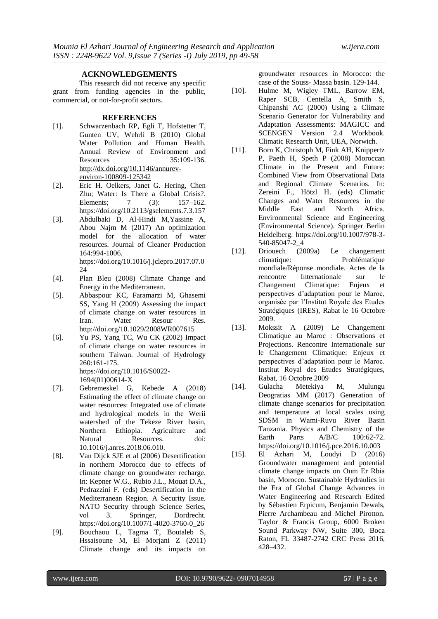## **ACKNOWLEDGEMENTS**

This research did not receive any specific grant from funding agencies in the public, commercial, or not-for-profit sectors.

#### **REFERENCES**

- [1]. Schwarzenbach RP, Egli T, Hofstetter T, Gunten UV, Wehrli B (2010) Global Water Pollution and Human Health. Annual Review of Environment and Resources 35:109-136. [http://dx.doi.org/10.1146/annurev](http://dx.doi.org/10.1146/annurev-environ-100809-125342)[environ-100809-125342](http://dx.doi.org/10.1146/annurev-environ-100809-125342)
- [2]. Eric H. Oelkers, Janet G. Hering, Chen Zhu; Water: Is There a Global Crisis?. Elements; 7 (3): 157–162. https://doi.org/10.2113/gselements.7.3.157
- [3]. Abdulbaki D, Al-Hindi M,Yassine A, Abou Najm M (2017) An optimization model for the allocation of water resources. Journal of Cleaner Production 164:994-1006. https://doi.org/10.1016/j.jclepro.2017.07.0 24
- [4]. Plan Bleu (2008) Climate Change and Energy in the Mediterranean.
- [5]. Abbaspour KC, Faramarzi M, Ghasemi SS, Yang H (2009) Assessing the impact of climate change on water resources in Iran. Water Resour Res. http://doi.org/10.1029/2008WR007615
- [6]. Yu PS, Yang TC, Wu CK (2002) Impact of climate change on water resources in southern Taiwan. Journal of Hydrology 260:161-175. https://doi.org/10.1016/S0022- 1694(01)00614-X
- [7]. Gebremeskel G, Kebede A (2018) Estimating the effect of climate change on water resources: Integrated use of climate and hydrological models in the Werii watershed of the Tekeze River basin,<br>Northern Ethiopia. Agriculture and Northern Ethiopia. Agriculture and Natural Resources. doi: 10.1016/j.anres.2018.06.010.
- [8]. Van Dijck SJE et al (2006) Desertification in northern Morocco due to effects of climate change on groundwater recharge. In: Kepner W.G., Rubio J.L., Mouat D.A., Pedrazzini F. (eds) Desertification in the Mediterranean Region. A Security Issue. NATO Security through Science Series, vol 3. Springer, Dordrecht. https://doi.org/10.1007/1-4020-3760-0\_26
- [9]. Bouchaou L, Tagma T, Boutaleb S, Hssaisoune M, El Morjani Z (2011) Climate change and its impacts on

groundwater resources in Morocco: the case of the Souss- Massa basin. 129-144.

- [10]. Hulme M, Wigley TML, Barrow EM, Raper SCB, Centella A, Smith S, Chipanshi AC (2000) Using a Climate Scenario Generator for Vulnerability and Adaptation Assessments: MAGICC and SCENGEN Version 2.4 Workbook. Climatic Research Unit, UEA, Norwich.
- [11]. Born K, Christoph M, Fink AH, Knippertz P, Paeth H, Speth P (2008) Moroccan Climate in the Present and Future: Combined View from Observational Data and Regional Climate Scenarios. In: Zereini F., Hötzl H. (eds) Climatic Changes and Water Resources in the Middle East and North Africa. Environmental Science and Engineering (Environmental Science). Springer Berlin Heidelberg. https://doi.org/10.1007/978-3- 540-85047-2\_4
- [12]. Driouech (2009a) Le changement climatique: Problématique mondiale/Réponse mondiale. Actes de la rencontre Internationale sur le<br>Changement Climatique: Enjeux et Changement Climatique: Enjeux et perspectives d'adaptation pour le Maroc, organisée par l'Institut Royale des Etudes Stratégiques (IRES), Rabat le 16 Octobre 2009.
- [13]. Mokssit A (2009) Le Changement Climatique au Maroc : Observations et Projections. Rencontre Internationale sur le Changement Climatique: Enjeux et perspectives d'adaptation pour le Maroc. Institut Royal des Etudes Stratégiques, Rabat, 16 Octobre 2009
- [14]. Gulacha Metekiya M, Mulungu Deogratias MM (2017) Generation of climate change scenarios for precipitation and temperature at local scales using SDSM in Wami-Ruvu River Basin Tanzania. Physics and Chemistry of the Earth Parts A/B/C 100:62-72. https://doi.org/10.1016/j.pce.2016.10.003
- [15]. El Azhari M, Loudyi D (2016) Groundwater management and potential climate change impacts on Oum Er Rbia basin, Morocco. Sustainable Hydraulics in the Era of Global Change Advances in Water Engineering and Research Edited by Sébastien Erpicum, Benjamin Dewals, Pierre Archambeau and Michel Pirotton. Taylor & Francis Group, 6000 Broken Sound Parkway NW, Suite 300, Boca Raton, FL 33487-2742 CRC Press 2016, 428–432.